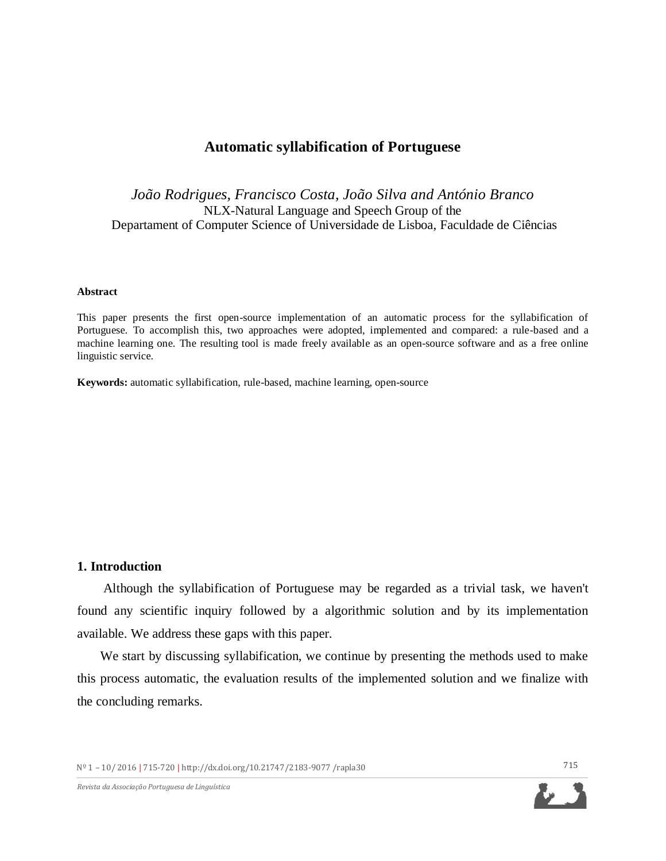# **Automatic syllabification of Portuguese**

*João Rodrigues, Francisco Costa, João Silva and António Branco* NLX-Natural Language and Speech Group of the Departament of Computer Science of Universidade de Lisboa, Faculdade de Ciências

#### **Abstract**

This paper presents the first open-source implementation of an automatic process for the syllabification of Portuguese. To accomplish this, two approaches were adopted, implemented and compared: a rule-based and a machine learning one. The resulting tool is made freely available as an open-source software and as a free online linguistic service.

**Keywords:** automatic syllabification, rule-based, machine learning, open-source

### **1. Introduction**

Although the syllabification of Portuguese may be regarded as a trivial task, we haven't found any scientific inquiry followed by a algorithmic solution and by its implementation available. We address these gaps with this paper.

We start by discussing syllabification, we continue by presenting the methods used to make this process automatic, the evaluation results of the implemented solution and we finalize with the concluding remarks.

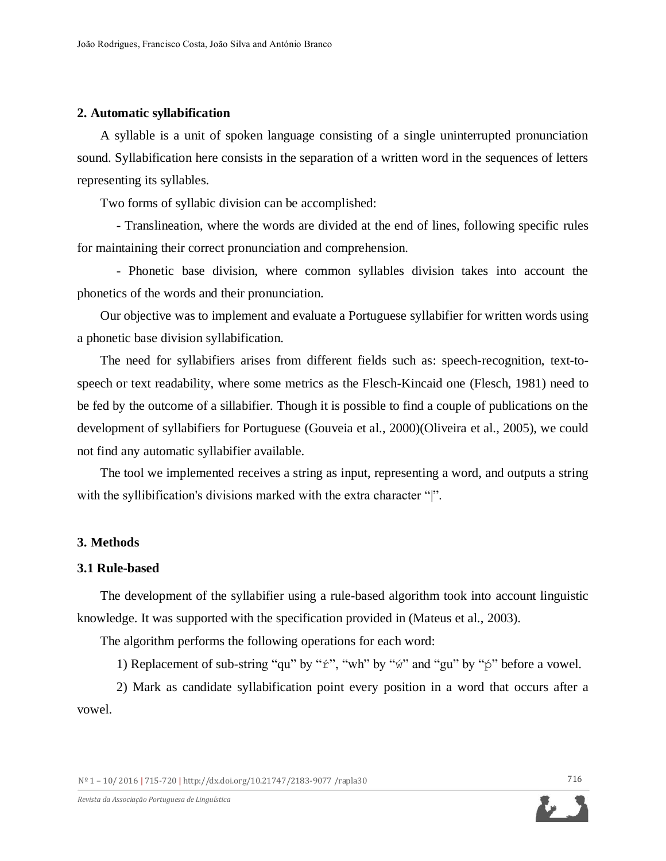## **2. Automatic syllabification**

A syllable is a unit of spoken language consisting of a single uninterrupted pronunciation sound. Syllabification here consists in the separation of a written word in the sequences of letters representing its syllables.

Two forms of syllabic division can be accomplished:

- Translineation, where the words are divided at the end of lines, following specific rules for maintaining their correct pronunciation and comprehension.

- Phonetic base division, where common syllables division takes into account the phonetics of the words and their pronunciation.

Our objective was to implement and evaluate a Portuguese syllabifier for written words using a phonetic base division syllabification.

The need for syllabifiers arises from different fields such as: speech-recognition, text-tospeech or text readability, where some metrics as the Flesch-Kincaid one (Flesch, 1981) need to be fed by the outcome of a sillabifier. Though it is possible to find a couple of publications on the development of syllabifiers for Portuguese (Gouveia et al., 2000)(Oliveira et al., 2005), we could not find any automatic syllabifier available.

The tool we implemented receives a string as input, representing a word, and outputs a string with the syllibification's divisions marked with the extra character "|".

# **3. Methods**

### **3.1 Rule-based**

The development of the syllabifier using a rule-based algorithm took into account linguistic knowledge. It was supported with the specification provided in (Mateus et al., 2003).

The algorithm performs the following operations for each word:

1) Replacement of sub-string "qu" by " $f$ ", "wh" by " $w'$ " and "gu" by " $p'$ " before a vowel.

2) Mark as candidate syllabification point every position in a word that occurs after a vowel.

Nº 1 – 10/ 2016 **|** 715-720 **|** http://dx.doi.org/10.21747/2183-9077 /rapla30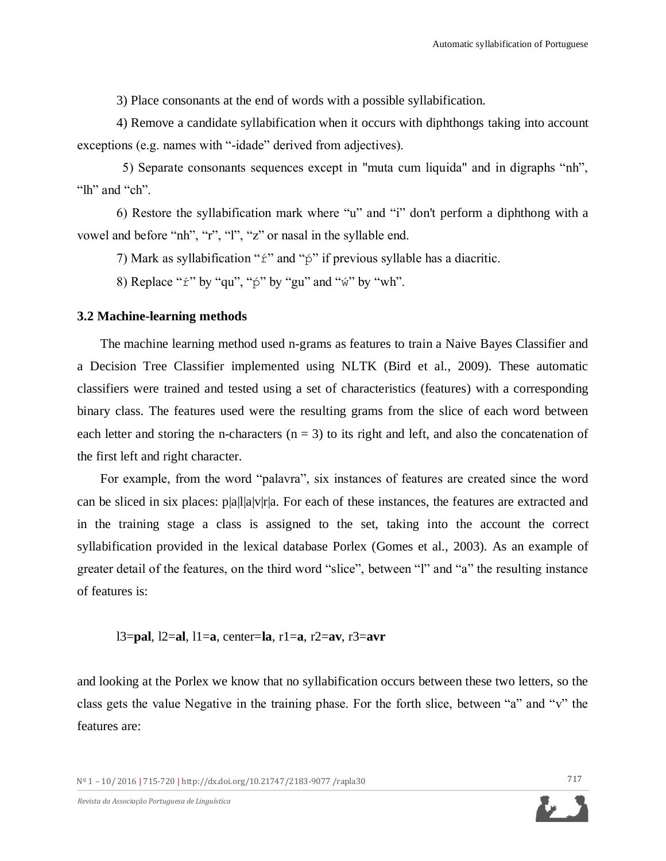3) Place consonants at the end of words with a possible syllabification.

4) Remove a candidate syllabification when it occurs with diphthongs taking into account exceptions (e.g. names with "-idade" derived from adjectives).

 5) Separate consonants sequences except in "muta cum liquida" and in digraphs "nh", "lh" and "ch"

6) Restore the syllabification mark where "u" and "i" don't perform a diphthong with a vowel and before "nh", "r", "l", "z" or nasal in the syllable end.

7) Mark as syllabification " $\acute{\text{r}}$ " and " $\acute{\text{p}}$ " if previous syllable has a diacritic.

8) Replace " $\acute{x}$ " by "qu", " $\acute{p}$ " by "gu" and " $\acute{w}$ " by "wh".

# **3.2 Machine-learning methods**

The machine learning method used n-grams as features to train a Naive Bayes Classifier and a Decision Tree Classifier implemented using NLTK (Bird et al., 2009). These automatic classifiers were trained and tested using a set of characteristics (features) with a corresponding binary class. The features used were the resulting grams from the slice of each word between each letter and storing the n-characters  $(n = 3)$  to its right and left, and also the concatenation of the first left and right character.

For example, from the word "palavra", six instances of features are created since the word can be sliced in six places: p|a|l|a|v|r|a. For each of these instances, the features are extracted and in the training stage a class is assigned to the set, taking into the account the correct syllabification provided in the lexical database Porlex (Gomes et al., 2003). As an example of greater detail of the features, on the third word "slice", between "l" and "a" the resulting instance of features is:

l3=**pal**, l2=**al**, l1=**a**, center=**la**, r1=**a**, r2=**av**, r3=**avr**

and looking at the Porlex we know that no syllabification occurs between these two letters, so the class gets the value Negative in the training phase. For the forth slice, between "a" and "v" the features are: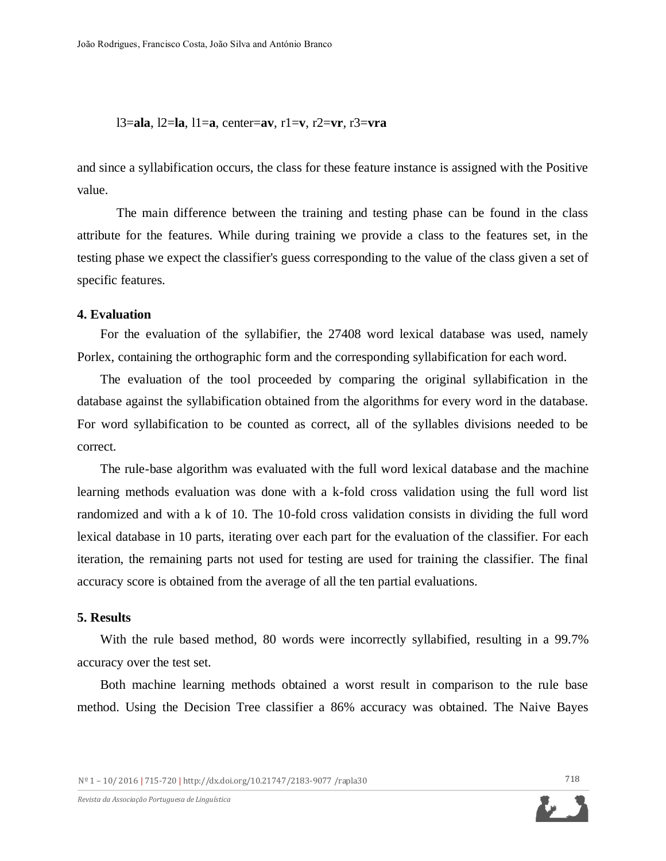l3=**ala**, l2=**la**, l1=**a**, center=**av**, r1=**v**, r2=**vr**, r3=**vra** 

and since a syllabification occurs, the class for these feature instance is assigned with the Positive value.

The main difference between the training and testing phase can be found in the class attribute for the features. While during training we provide a class to the features set, in the testing phase we expect the classifier's guess corresponding to the value of the class given a set of specific features.

#### **4. Evaluation**

For the evaluation of the syllabifier, the 27408 word lexical database was used, namely Porlex, containing the orthographic form and the corresponding syllabification for each word.

The evaluation of the tool proceeded by comparing the original syllabification in the database against the syllabification obtained from the algorithms for every word in the database. For word syllabification to be counted as correct, all of the syllables divisions needed to be correct.

The rule-base algorithm was evaluated with the full word lexical database and the machine learning methods evaluation was done with a k-fold cross validation using the full word list randomized and with a k of 10. The 10-fold cross validation consists in dividing the full word lexical database in 10 parts, iterating over each part for the evaluation of the classifier. For each iteration, the remaining parts not used for testing are used for training the classifier. The final accuracy score is obtained from the average of all the ten partial evaluations.

#### **5. Results**

With the rule based method, 80 words were incorrectly syllabified, resulting in a 99.7% accuracy over the test set.

Both machine learning methods obtained a worst result in comparison to the rule base method. Using the Decision Tree classifier a 86% accuracy was obtained. The Naive Bayes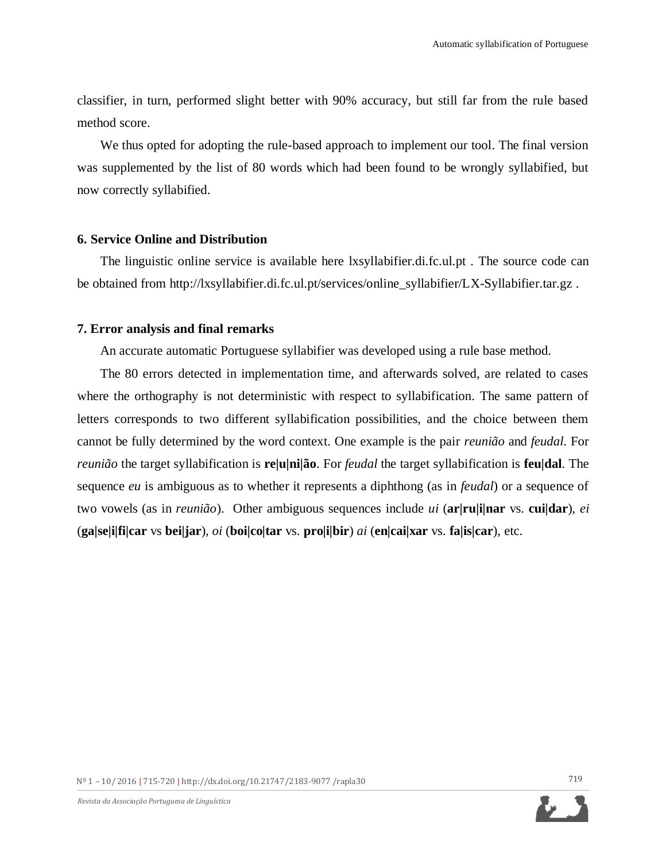classifier, in turn, performed slight better with 90% accuracy, but still far from the rule based method score.

We thus opted for adopting the rule-based approach to implement our tool. The final version was supplemented by the list of 80 words which had been found to be wrongly syllabified, but now correctly syllabified.

# **6. Service Online and Distribution**

The linguistic online service is available here [lxsyllabifier.di.fc.ul.pt](http://www.lxsyllabifier.di.fc.ul.pt/) . The source code can be obtained from [http://lxsyllabifier.di.fc.ul.pt/services/online\\_syllabifier/LX-Syllabifier.tar.gz](http://lxsyllabifier.di.fc.ul.pt/services/online_syllabifier/LX-Syllabifier.tar.gz) .

# **7. Error analysis and final remarks**

An accurate automatic Portuguese syllabifier was developed using a rule base method.

The 80 errors detected in implementation time, and afterwards solved, are related to cases where the orthography is not deterministic with respect to syllabification. The same pattern of letters corresponds to two different syllabification possibilities, and the choice between them cannot be fully determined by the word context. One example is the pair *reunião* and *feudal*. For *reunião* the target syllabification is **re|u|ni|ão**. For *feudal* the target syllabification is **feu|dal**. The sequence *eu* is ambiguous as to whether it represents a diphthong (as in *feudal*) or a sequence of two vowels (as in *reunião*). Other ambiguous sequences include *ui* (**ar|ru|i|nar** vs. **cui|dar**), *ei* (**ga|se|i|fi|car** vs **bei|jar**), *oi* (**boi|co|tar** vs. **pro|i|bir**) *ai* (**en|cai|xar** vs. **fa|is|car**), etc.